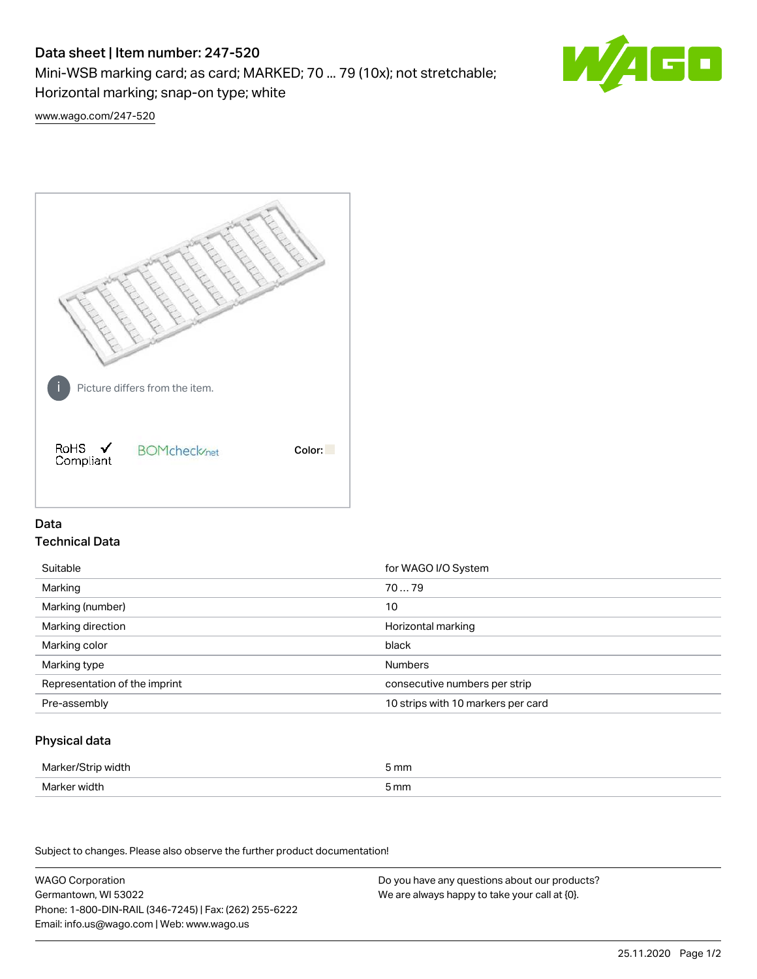# Data sheet | Item number: 247-520

Mini-WSB marking card; as card; MARKED; 70 ... 79 (10x); not stretchable;

Horizontal marking; snap-on type; white



[www.wago.com/247-520](http://www.wago.com/247-520)



## Data Technical Data

| Suitable                      | for WAGO I/O System                |
|-------------------------------|------------------------------------|
| Marking                       | 7079                               |
| Marking (number)              | 10                                 |
| Marking direction             | Horizontal marking                 |
| Marking color                 | black                              |
| Marking type                  | <b>Numbers</b>                     |
| Representation of the imprint | consecutive numbers per strip      |
| Pre-assembly                  | 10 strips with 10 markers per card |

## Physical data

| Marker/Strip width | 5 mm |
|--------------------|------|
| Marker width       | 5 mm |

Subject to changes. Please also observe the further product documentation!

WAGO Corporation Germantown, WI 53022 Phone: 1-800-DIN-RAIL (346-7245) | Fax: (262) 255-6222 Email: info.us@wago.com | Web: www.wago.us Do you have any questions about our products? We are always happy to take your call at {0}.